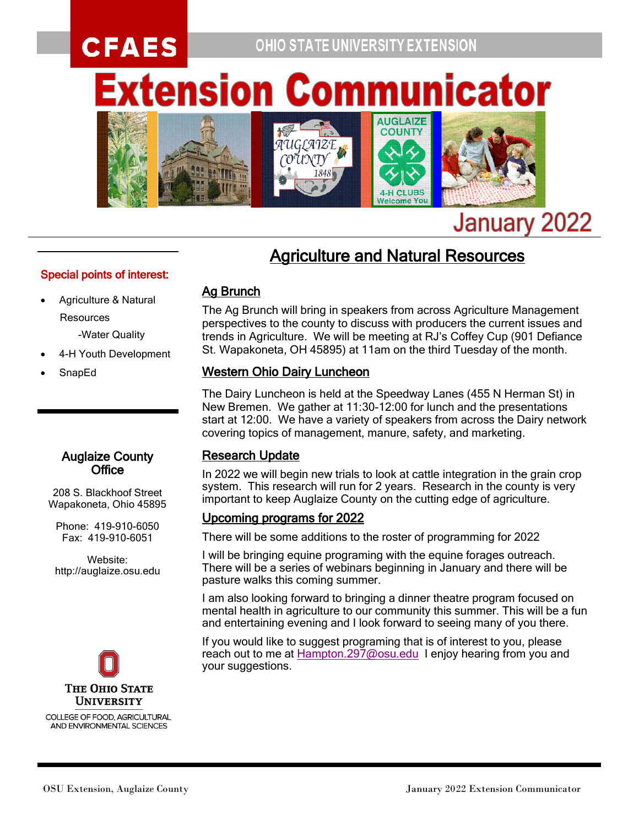## **CFAES OHIO STATE UNIVERSITY EXTENSION xtension Commu Inicator**



# January 2022

### **Agriculture and Natural Resources**

#### Special points of interest:

• Agriculture & Natural **Resources** 

-Water Quality

- 4-H Youth Development
- SnapEd

#### Auglaize County **Office**

208 S. Blackhoof Street Wapakoneta, Ohio 45895

Phone: 419-910-6050 Fax: 419-910-6051

Website: http://auglaize.osu.edu



COLLEGE OF FOOD, AGRICULTURAL, AND ENVIRONMENTAL SCIENCES

# Ag Brunch

The Ag Brunch will bring in speakers from across Agriculture Management perspectives to the county to discuss with producers the current issues and trends in Agriculture. We will be meeting at RJ's Coffey Cup (901 Defiance St. Wapakoneta, OH 45895) at 11am on the third Tuesday of the month.

#### Western Ohio Dairy Luncheon

The Dairy Luncheon is held at the Speedway Lanes (455 N Herman St) in New Bremen. We gather at 11:30-12:00 for lunch and the presentations start at 12:00. We have a variety of speakers from across the Dairy network covering topics of management, manure, safety, and marketing.

#### Research Update

In 2022 we will begin new trials to look at cattle integration in the grain crop system. This research will run for 2 years. Research in the county is very important to keep Auglaize County on the cutting edge of agriculture.

#### Upcoming programs for 2022

There will be some additions to the roster of programming for 2022

I will be bringing equine programing with the equine forages outreach. There will be a series of webinars beginning in January and there will be pasture walks this coming summer.

I am also looking forward to bringing a dinner theatre program focused on mental health in agriculture to our community this summer. This will be a fun and entertaining evening and I look forward to seeing many of you there.

If you would like to suggest programing that is of interest to you, please reach out to me at [Hampton.297@osu.edu](mailto:Hampton.297@osu.edu) I enjoy hearing from you and your suggestions.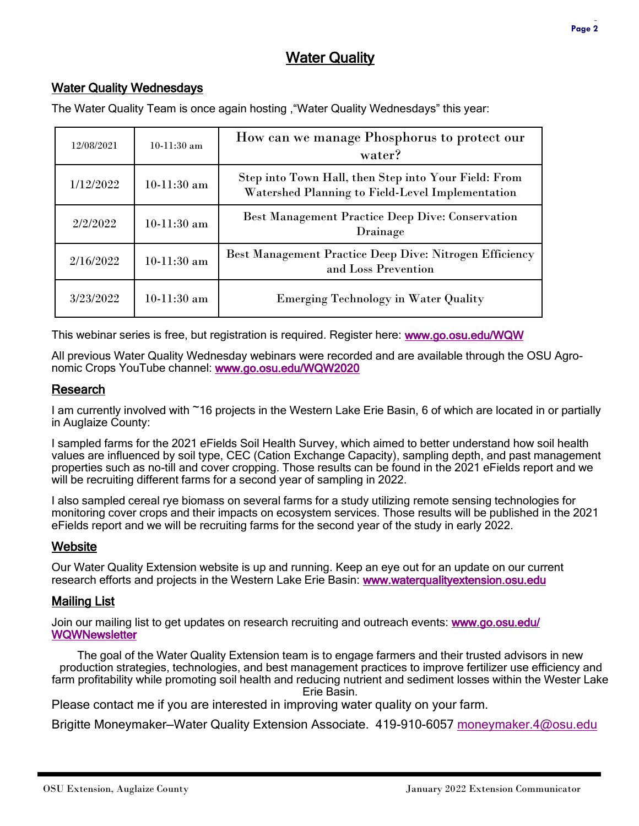#### Water Quality Wednesdays

The Water Quality Team is once again hosting ,"Water Quality Wednesdays" this year:

| 12/08/2021 | $10-11:30$ am | How can we manage Phosphorus to protect our<br>water?                                                    |
|------------|---------------|----------------------------------------------------------------------------------------------------------|
| 1/12/2022  | $10-11:30$ am | Step into Town Hall, then Step into Your Field: From<br>Watershed Planning to Field-Level Implementation |
| 2/2/2022   | $10-11:30$ am | <b>Best Management Practice Deep Dive: Conservation</b><br>Drainage                                      |
| 2/16/2022  | $10-11:30$ am | Best Management Practice Deep Dive: Nitrogen Efficiency<br>and Loss Prevention                           |
| 3/23/2022  | $10-11:30$ am | <b>Emerging Technology in Water Quality</b>                                                              |

This webinar series is free, but registration is required. Register here: [www.go.osu.edu/WQW](http://www.go.osu.edu/WQW)

All previous Water Quality Wednesday webinars were recorded and are available through the OSU Agronomic Crops YouTube channel: [www.go.osu.edu/WQW2020](http://www.go.osu.edu/WQW2020)

#### Research

I am currently involved with ~16 projects in the Western Lake Erie Basin, 6 of which are located in or partially in Auglaize County:

I sampled farms for the 2021 eFields Soil Health Survey, which aimed to better understand how soil health values are influenced by soil type, CEC (Cation Exchange Capacity), sampling depth, and past management properties such as no-till and cover cropping. Those results can be found in the 2021 eFields report and we will be recruiting different farms for a second year of sampling in 2022.

I also sampled cereal rye biomass on several farms for a study utilizing remote sensing technologies for monitoring cover crops and their impacts on ecosystem services. Those results will be published in the 2021 eFields report and we will be recruiting farms for the second year of the study in early 2022.

#### **Website**

Our Water Quality Extension website is up and running. Keep an eye out for an update on our current research efforts and projects in the Western Lake Erie Basin: [www.waterqualityextension.osu.edu](http://www.waterqualityextension.osu.edu) 

#### Mailing List

Join our mailing list to get updates on research recruiting and outreach events: [www.go.osu.edu/](http://www.go.osu.edu/WQWNewsletter) **WQWNewsletter** 

The goal of the Water Quality Extension team is to engage farmers and their trusted advisors in new production strategies, technologies, and best management practices to improve fertilizer use efficiency and farm profitability while promoting soil health and reducing nutrient and sediment losses within the Wester Lake Erie Basin.

Please contact me if you are interested in improving water quality on your farm.

Brigitte Moneymaker—Water Quality Extension Associate. 419-910-6057 [moneymaker.4@osu.edu](mailto:moneymaker.4@osu.edu)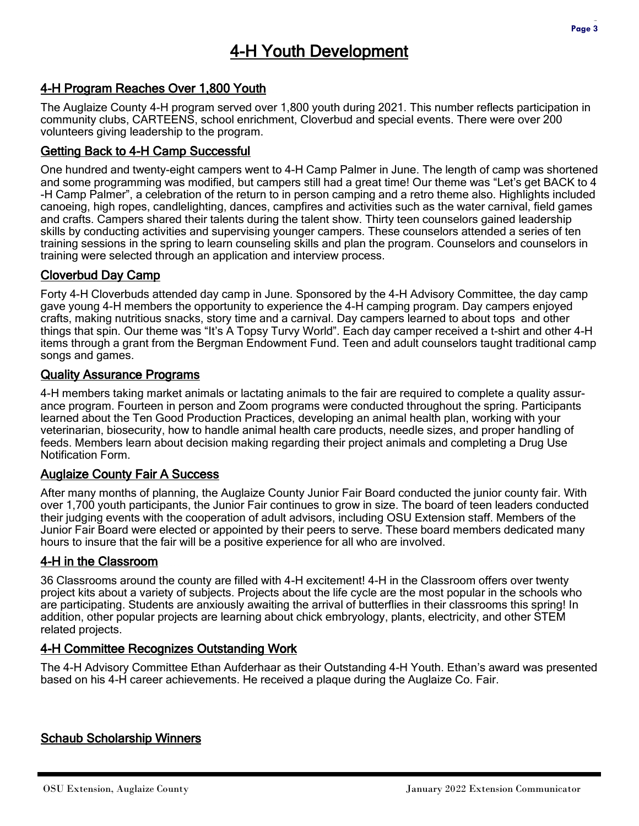#### 4-H Program Reaches Over 1,800 Youth

The Auglaize County 4-H program served over 1,800 youth during 2021. This number reflects participation in community clubs, CARTEENS, school enrichment, Cloverbud and special events. There were over 200 volunteers giving leadership to the program.

#### Getting Back to 4-H Camp Successful

One hundred and twenty-eight campers went to 4-H Camp Palmer in June. The length of camp was shortened and some programming was modified, but campers still had a great time! Our theme was "Let's get BACK to 4 -H Camp Palmer", a celebration of the return to in person camping and a retro theme also. Highlights included canoeing, high ropes, candlelighting, dances, campfires and activities such as the water carnival, field games and crafts. Campers shared their talents during the talent show. Thirty teen counselors gained leadership skills by conducting activities and supervising younger campers. These counselors attended a series of ten training sessions in the spring to learn counseling skills and plan the program. Counselors and counselors in training were selected through an application and interview process.

#### Cloverbud Day Camp

Forty 4-H Cloverbuds attended day camp in June. Sponsored by the 4-H Advisory Committee, the day camp gave young 4-H members the opportunity to experience the 4-H camping program. Day campers enjoyed crafts, making nutritious snacks, story time and a carnival. Day campers learned to about tops and other things that spin. Our theme was "It's A Topsy Turvy World". Each day camper received a t-shirt and other 4-H items through a grant from the Bergman Endowment Fund. Teen and adult counselors taught traditional camp songs and games.

#### Quality Assurance Programs

4-H members taking market animals or lactating animals to the fair are required to complete a quality assurance program. Fourteen in person and Zoom programs were conducted throughout the spring. Participants learned about the Ten Good Production Practices, developing an animal health plan, working with your veterinarian, biosecurity, how to handle animal health care products, needle sizes, and proper handling of feeds. Members learn about decision making regarding their project animals and completing a Drug Use Notification Form.

#### Auglaize County Fair A Success

After many months of planning, the Auglaize County Junior Fair Board conducted the junior county fair. With over 1,700 youth participants, the Junior Fair continues to grow in size. The board of teen leaders conducted their judging events with the cooperation of adult advisors, including OSU Extension staff. Members of the Junior Fair Board were elected or appointed by their peers to serve. These board members dedicated many hours to insure that the fair will be a positive experience for all who are involved.

#### 4-H in the Classroom

36 Classrooms around the county are filled with 4-H excitement! 4-H in the Classroom offers over twenty project kits about a variety of subjects. Projects about the life cycle are the most popular in the schools who are participating. Students are anxiously awaiting the arrival of butterflies in their classrooms this spring! In addition, other popular projects are learning about chick embryology, plants, electricity, and other STEM related projects.

#### 4-H Committee Recognizes Outstanding Work

The 4-H Advisory Committee Ethan Aufderhaar as their Outstanding 4-H Youth. Ethan's award was presented based on his 4-H career achievements. He received a plaque during the Auglaize Co. Fair.

#### **Schaub Scholarship Winners**